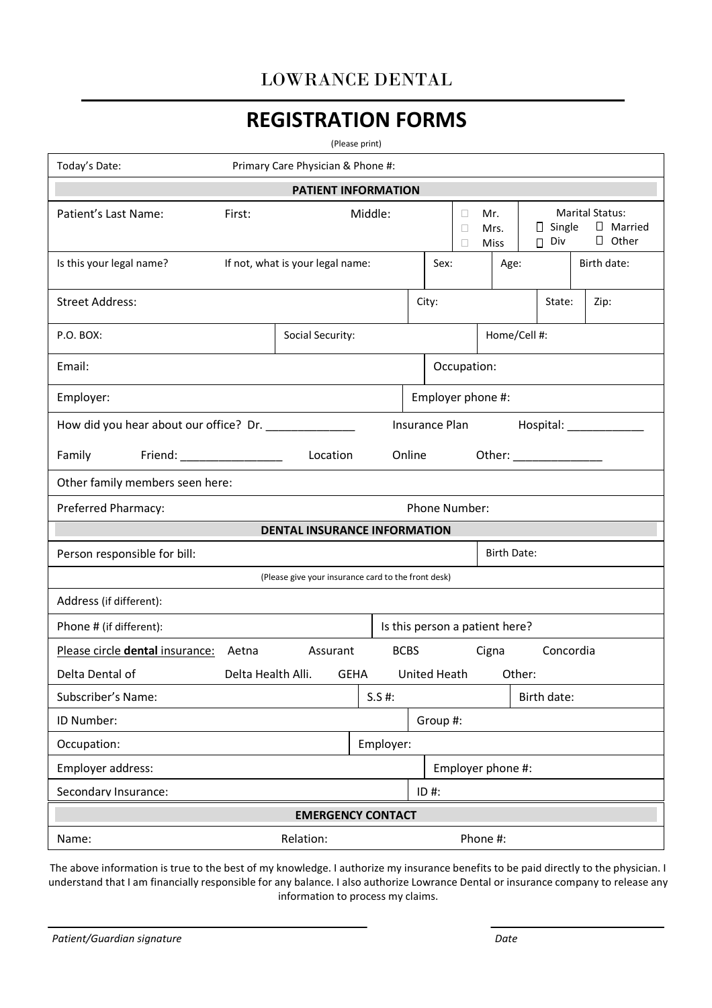## LOWRANCE DENTAL

# **REGISTRATION FORMS**

(Please print)

| Today's Date:                                                                  |                                                     | Primary Care Physician & Phone #:                                                                       |           |        |           |                   |              |                          |                                     |
|--------------------------------------------------------------------------------|-----------------------------------------------------|---------------------------------------------------------------------------------------------------------|-----------|--------|-----------|-------------------|--------------|--------------------------|-------------------------------------|
| <b>PATIENT INFORMATION</b>                                                     |                                                     |                                                                                                         |           |        |           |                   |              |                          |                                     |
| Patient's Last Name:                                                           | First:                                              | Middle:<br><b>Marital Status:</b><br>Mr.<br>$\Box$ Single<br>Mrs.<br>$\Box$ Other<br>$\Box$ Div<br>Miss |           |        | □ Married |                   |              |                          |                                     |
| Is this your legal name?                                                       |                                                     | If not, what is your legal name:<br>Birth date:<br>Sex:<br>Age:                                         |           |        |           |                   |              |                          |                                     |
| <b>Street Address:</b>                                                         |                                                     | City:<br>State:<br>Zip:                                                                                 |           |        |           |                   |              |                          |                                     |
| P.O. BOX:                                                                      |                                                     | Social Security:                                                                                        |           |        |           |                   | Home/Cell #: |                          |                                     |
| Email:                                                                         |                                                     |                                                                                                         |           |        |           | Occupation:       |              |                          |                                     |
| Employer:                                                                      |                                                     |                                                                                                         |           |        |           | Employer phone #: |              |                          |                                     |
|                                                                                | How did you hear about our office? Dr. ____________ |                                                                                                         |           |        |           |                   |              |                          | Insurance Plan Hospital: __________ |
| Family Friend: ________________                                                |                                                     | Location                                                                                                |           | Online |           |                   |              | Other: _________________ |                                     |
| Other family members seen here:                                                |                                                     |                                                                                                         |           |        |           |                   |              |                          |                                     |
|                                                                                | Preferred Pharmacy:<br>Phone Number:                |                                                                                                         |           |        |           |                   |              |                          |                                     |
| <b>DENTAL INSURANCE INFORMATION</b>                                            |                                                     |                                                                                                         |           |        |           |                   |              |                          |                                     |
| Person responsible for bill:<br><b>Birth Date:</b>                             |                                                     |                                                                                                         |           |        |           |                   |              |                          |                                     |
| (Please give your insurance card to the front desk)                            |                                                     |                                                                                                         |           |        |           |                   |              |                          |                                     |
| Address (if different):                                                        |                                                     |                                                                                                         |           |        |           |                   |              |                          |                                     |
| Is this person a patient here?<br>Phone # (if different):                      |                                                     |                                                                                                         |           |        |           |                   |              |                          |                                     |
| Please circle dental insurance: Aetna Assurant<br>BCBS Cigna<br>Concordia      |                                                     |                                                                                                         |           |        |           |                   |              |                          |                                     |
| Delta Dental of<br>United Heath<br>Delta Health Alli.<br>Other:<br><b>GEHA</b> |                                                     |                                                                                                         |           |        |           |                   |              |                          |                                     |
| Subscriber's Name:                                                             |                                                     |                                                                                                         | $S.S$ #:  |        |           |                   |              | Birth date:              |                                     |
| ID Number:                                                                     |                                                     |                                                                                                         |           |        | Group #:  |                   |              |                          |                                     |
| Occupation:                                                                    |                                                     |                                                                                                         | Employer: |        |           |                   |              |                          |                                     |
| Employer address:                                                              | Employer phone #:                                   |                                                                                                         |           |        |           |                   |              |                          |                                     |
| Secondary Insurance:                                                           |                                                     |                                                                                                         |           |        | $ID$ #:   |                   |              |                          |                                     |
| <b>EMERGENCY CONTACT</b>                                                       |                                                     |                                                                                                         |           |        |           |                   |              |                          |                                     |
| Name:                                                                          |                                                     | Relation:                                                                                               |           |        |           | Phone #:          |              |                          |                                     |

The above information is true to the best of my knowledge. I authorize my insurance benefits to be paid directly to the physician. I understand that I am financially responsible for any balance. I also authorize Lowrance Dental or insurance company to release any information to process my claims.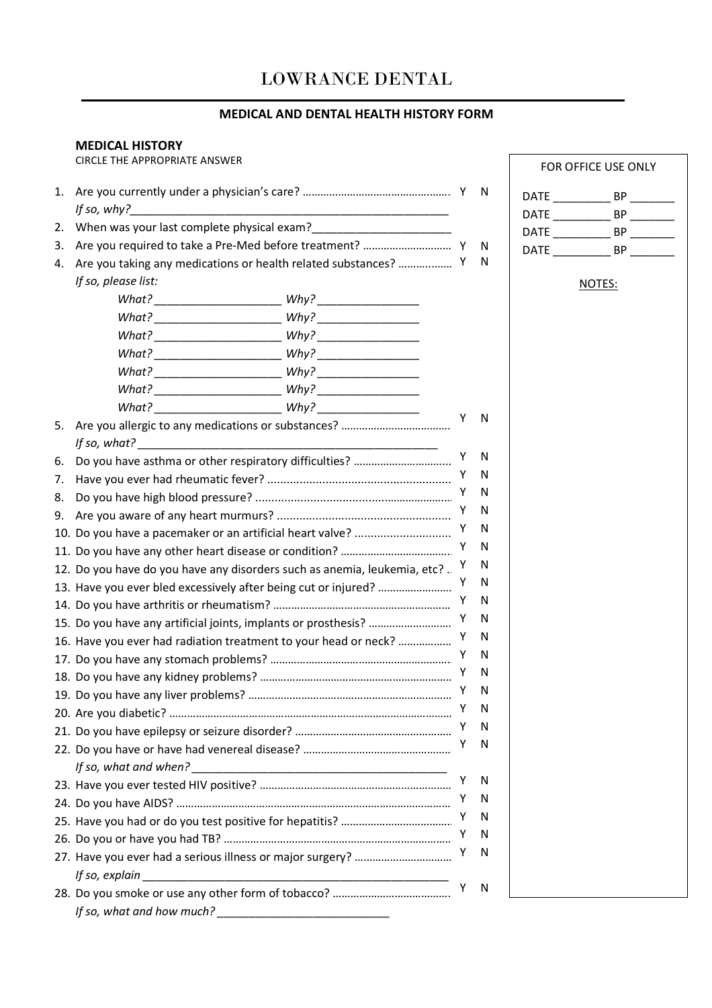## LOWRANCE DENTAL

## **MEDICAL AND DENTAL HEALTH HISTORY FORM**

#### **MEDICAL HISTORY**

CIRCLE THE APPROPRIATE ANSWER

| 1. |                                                                          |  |   | N      |
|----|--------------------------------------------------------------------------|--|---|--------|
|    | If so, why?                                                              |  |   |        |
| 2. |                                                                          |  |   |        |
| 3. | Are you taking any medications or health related substances?  Y          |  |   | N<br>N |
| 4. |                                                                          |  |   |        |
|    | If so, please list:                                                      |  |   |        |
|    |                                                                          |  |   |        |
|    |                                                                          |  |   |        |
|    |                                                                          |  |   |        |
|    |                                                                          |  |   |        |
|    |                                                                          |  |   |        |
|    |                                                                          |  |   |        |
|    |                                                                          |  | Y | N      |
| 5. |                                                                          |  |   |        |
|    |                                                                          |  | Y | N      |
| 6. |                                                                          |  | Y | N      |
| 7. |                                                                          |  | Y | N      |
| 8. |                                                                          |  | Y | N      |
| 9. |                                                                          |  |   |        |
|    | 10. Do you have a pacemaker or an artificial heart valve?                |  |   | N      |
|    |                                                                          |  |   | N      |
|    | 12. Do you have do you have any disorders such as anemia, leukemia, etc? |  |   | N      |
|    | 13. Have you ever bled excessively after being cut or injured?           |  |   | N      |
|    |                                                                          |  | Y | N      |
|    |                                                                          |  | Y | N      |
|    | 16. Have you ever had radiation treatment to your head or neck?          |  | Y | N      |
|    |                                                                          |  | Y | N      |
|    |                                                                          |  | Y | N      |
|    |                                                                          |  | Y | N      |
|    |                                                                          |  | Y | N      |
|    |                                                                          |  | Y | N      |
|    |                                                                          |  | Υ | N      |
|    | If so, what and when?                                                    |  |   |        |
|    |                                                                          |  | Y | N      |
|    |                                                                          |  | Y | N      |
|    |                                                                          |  | Y | N      |
|    |                                                                          |  | Υ | N      |
|    |                                                                          |  | Υ | N      |
|    |                                                                          |  |   |        |
|    |                                                                          |  | Y | N      |
|    |                                                                          |  |   |        |

|      | FOR OFFICE USE ONLY |  |
|------|---------------------|--|
| DATE | ВP                  |  |
| DATE | ВP                  |  |
| DATE | ВP                  |  |
| DATE | RР                  |  |

NOTES: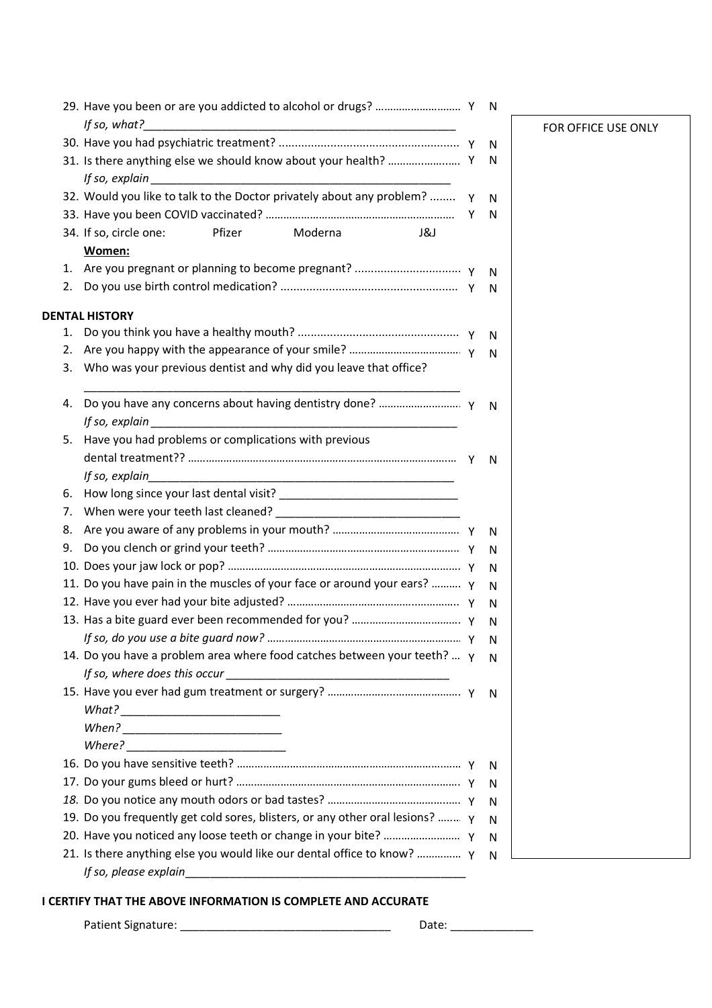|    |                                                                                                                                       |   | N. |       |
|----|---------------------------------------------------------------------------------------------------------------------------------------|---|----|-------|
|    | If so, what?<br><u> 2000 - Jan James James James James James James James James James James James James James James James James Ja</u> |   |    | FOR C |
|    |                                                                                                                                       |   | N  |       |
|    |                                                                                                                                       |   | N  |       |
|    |                                                                                                                                       |   |    |       |
|    | 32. Would you like to talk to the Doctor privately about any problem?                                                                 | Y | N  |       |
|    |                                                                                                                                       | Y | N  |       |
|    | 34. If so, circle one:<br>Pfizer<br>Moderna<br>J&J                                                                                    |   |    |       |
|    | Women:                                                                                                                                |   |    |       |
|    |                                                                                                                                       |   | N  |       |
| 2. |                                                                                                                                       |   | N  |       |
|    |                                                                                                                                       |   |    |       |
|    | <b>DENTAL HISTORY</b>                                                                                                                 |   |    |       |
| 1. |                                                                                                                                       |   | N. |       |
| 2. |                                                                                                                                       |   | N  |       |
| 3. | Who was your previous dentist and why did you leave that office?                                                                      |   |    |       |
|    |                                                                                                                                       |   |    |       |
| 4. |                                                                                                                                       |   | N. |       |
| 5. | Have you had problems or complications with previous                                                                                  |   |    |       |
|    |                                                                                                                                       |   |    |       |
|    | If so, explain                                                                                                                        |   | N. |       |
| 6. |                                                                                                                                       |   |    |       |
| 7. |                                                                                                                                       |   |    |       |
| 8. |                                                                                                                                       |   | N  |       |
| 9. |                                                                                                                                       |   | N  |       |
|    |                                                                                                                                       |   | N  |       |
|    | 11. Do you have pain in the muscles of your face or around your ears?  Y                                                              |   | N  |       |
|    |                                                                                                                                       |   | N  |       |
|    |                                                                                                                                       |   | N  |       |
|    |                                                                                                                                       |   | N  |       |
|    | 14. Do you have a problem area where food catches between your teeth?  Y                                                              |   | N  |       |
|    |                                                                                                                                       |   |    |       |
|    |                                                                                                                                       |   | N  |       |
|    |                                                                                                                                       |   |    |       |
|    |                                                                                                                                       |   |    |       |
|    |                                                                                                                                       |   |    |       |
|    |                                                                                                                                       |   | N  |       |
|    |                                                                                                                                       |   | N  |       |
|    |                                                                                                                                       |   | N  |       |
|    | 19. Do you frequently get cold sores, blisters, or any other oral lesions?  Y                                                         |   | N  |       |
|    |                                                                                                                                       |   | N  |       |
|    | 21. Is there anything else you would like our dental office to know?  Y                                                               |   | N  |       |
|    | If so, please explain                                                                                                                 |   |    |       |

#### **I CERTIFY THAT THE ABOVE INFORMATION IS COMPLETE AND ACCURATE**

Patient Signature: \_\_\_\_\_\_\_\_\_\_\_\_\_\_\_\_\_\_\_\_\_\_\_\_\_\_\_\_\_\_\_\_\_ Date: \_\_\_\_\_\_\_\_\_\_\_\_\_

OFFICE USE ONLY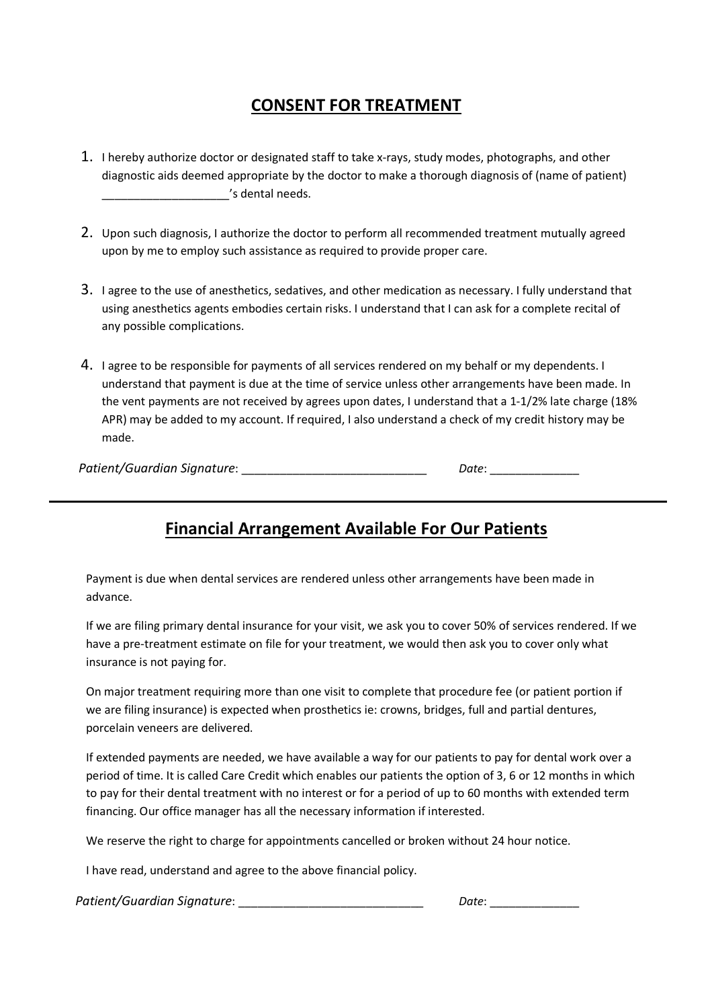## **CONSENT FOR TREATMENT**

- 1. I hereby authorize doctor or designated staff to take x-rays, study modes, photographs, and other diagnostic aids deemed appropriate by the doctor to make a thorough diagnosis of (name of patient) \_\_\_\_\_\_\_\_\_\_\_\_\_\_\_\_\_\_\_\_'s dental needs.
- 2. Upon such diagnosis, I authorize the doctor to perform all recommended treatment mutually agreed upon by me to employ such assistance as required to provide proper care.
- 3. I agree to the use of anesthetics, sedatives, and other medication as necessary. I fully understand that using anesthetics agents embodies certain risks. I understand that I can ask for a complete recital of any possible complications.
- 4. I agree to be responsible for payments of all services rendered on my behalf or my dependents. I understand that payment is due at the time of service unless other arrangements have been made. In the vent payments are not received by agrees upon dates, I understand that a 1-1/2% late charge (18% APR) may be added to my account. If required, I also understand a check of my credit history may be made.

| Patient/Guardian Signature: | Date: |
|-----------------------------|-------|
|-----------------------------|-------|

## **Financial Arrangement Available For Our Patients**

Payment is due when dental services are rendered unless other arrangements have been made in advance.

If we are filing primary dental insurance for your visit, we ask you to cover 50% of services rendered. If we have a pre-treatment estimate on file for your treatment, we would then ask you to cover only what insurance is not paying for.

On major treatment requiring more than one visit to complete that procedure fee (or patient portion if we are filing insurance) is expected when prosthetics ie: crowns, bridges, full and partial dentures, porcelain veneers are delivered.

If extended payments are needed, we have available a way for our patients to pay for dental work over a period of time. It is called Care Credit which enables our patients the option of 3, 6 or 12 months in which to pay for their dental treatment with no interest or for a period of up to 60 months with extended term financing. Our office manager has all the necessary information if interested.

We reserve the right to charge for appointments cancelled or broken without 24 hour notice.

I have read, understand and agree to the above financial policy.

*Patient/Guardian Signature*: \_\_\_\_\_\_\_\_\_\_\_\_\_\_\_\_\_\_\_\_\_\_\_\_\_\_\_\_\_ *Date*: \_\_\_\_\_\_\_\_\_\_\_\_\_\_